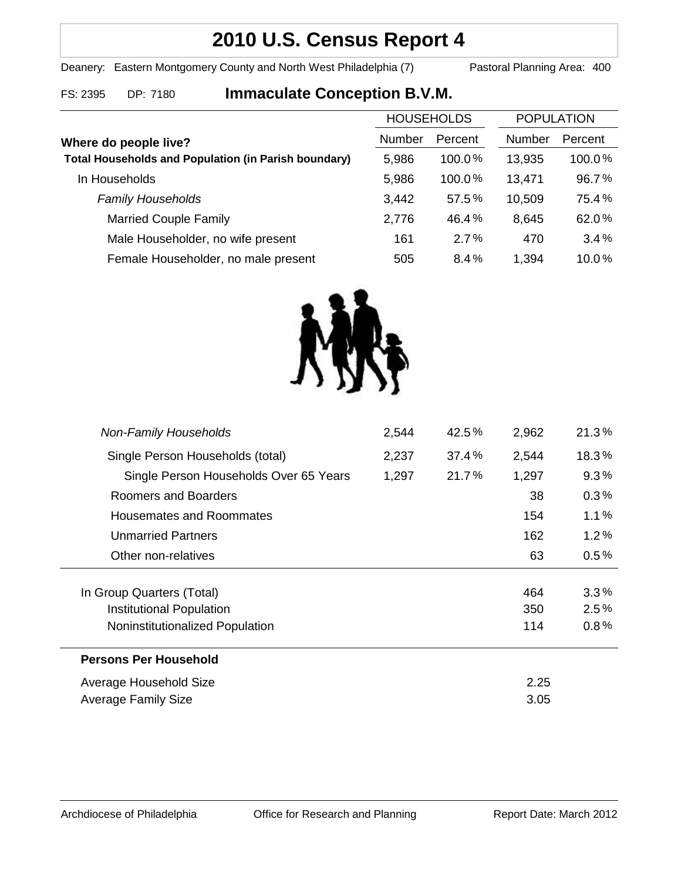# **2010 U.S. Census Report 4**

Deanery: Eastern Montgomery County and North West Philadelphia (7) Pastoral Planning Area: 400

## FS: 2395 DP: 7180 **Immaculate Conception B.V.M.**

|                                                             | <b>HOUSEHOLDS</b> |         | <b>POPULATION</b> |         |
|-------------------------------------------------------------|-------------------|---------|-------------------|---------|
| Where do people live?                                       | Number            | Percent | <b>Number</b>     | Percent |
| <b>Total Households and Population (in Parish boundary)</b> | 5,986             | 100.0%  | 13,935            | 100.0%  |
| In Households                                               | 5,986             | 100.0%  | 13,471            | 96.7%   |
| <b>Family Households</b>                                    | 3,442             | 57.5%   | 10,509            | 75.4%   |
| <b>Married Couple Family</b>                                | 2,776             | 46.4%   | 8,645             | 62.0%   |
| Male Householder, no wife present                           | 161               | 2.7%    | 470               | 3.4%    |
| Female Householder, no male present                         | 505               | 8.4%    | 1,394             | 10.0%   |



| <b>Non-Family Households</b>           | 2,544 | 42.5% | 2,962 | 21.3%   |
|----------------------------------------|-------|-------|-------|---------|
| Single Person Households (total)       | 2,237 | 37.4% | 2,544 | 18.3%   |
| Single Person Households Over 65 Years | 1,297 | 21.7% | 1,297 | 9.3%    |
| Roomers and Boarders                   |       |       | 38    | 0.3%    |
| Housemates and Roommates               |       |       | 154   | 1.1%    |
| <b>Unmarried Partners</b>              |       |       | 162   | 1.2%    |
| Other non-relatives                    |       |       | 63    | $0.5\%$ |
|                                        |       |       |       |         |
| In Group Quarters (Total)              |       |       | 464   | 3.3%    |
| Institutional Population               |       |       | 350   | 2.5%    |
| Noninstitutionalized Population        |       |       | 114   | 0.8%    |
| <b>Persons Per Household</b>           |       |       |       |         |
| Average Household Size                 |       |       | 2.25  |         |
| Average Family Size                    |       |       | 3.05  |         |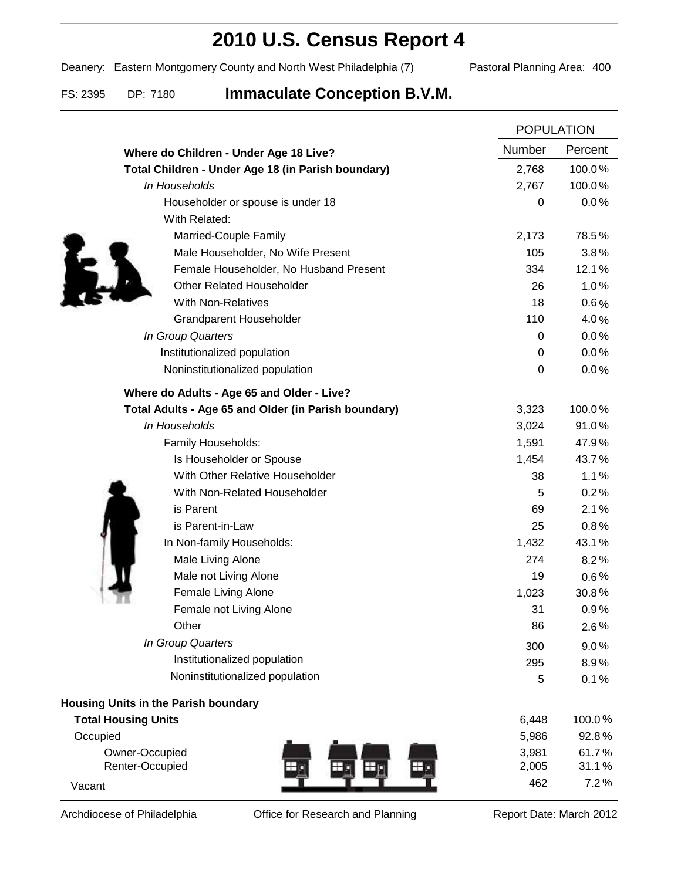## **2010 U.S. Census Report 4**

Deanery: Eastern Montgomery County and North West Philadelphia (7) Pastoral Planning Area: 400

FS: 2395 DP: 7180 **Immaculate Conception B.V.M.**

|                                                      | <b>POPULATION</b> |         |
|------------------------------------------------------|-------------------|---------|
| Where do Children - Under Age 18 Live?               | <b>Number</b>     | Percent |
| Total Children - Under Age 18 (in Parish boundary)   | 2,768             | 100.0%  |
| In Households                                        | 2,767             | 100.0%  |
| Householder or spouse is under 18                    | 0                 | 0.0%    |
| With Related:                                        |                   |         |
| Married-Couple Family                                | 2,173             | 78.5%   |
| Male Householder, No Wife Present                    | 105               | 3.8%    |
| Female Householder, No Husband Present               | 334               | 12.1%   |
| <b>Other Related Householder</b>                     | 26                | 1.0%    |
| <b>With Non-Relatives</b>                            | 18                | $0.6\%$ |
| Grandparent Householder                              | 110               | 4.0%    |
| In Group Quarters                                    | 0                 | 0.0%    |
| Institutionalized population                         | 0                 | 0.0%    |
| Noninstitutionalized population                      | $\boldsymbol{0}$  | 0.0%    |
| Where do Adults - Age 65 and Older - Live?           |                   |         |
| Total Adults - Age 65 and Older (in Parish boundary) | 3,323             | 100.0%  |
| In Households                                        | 3,024             | 91.0%   |
| Family Households:                                   | 1,591             | 47.9%   |
| Is Householder or Spouse                             | 1,454             | 43.7%   |
| With Other Relative Householder                      | 38                | 1.1%    |
| With Non-Related Householder                         | 5                 | 0.2%    |
| is Parent                                            | 69                | 2.1%    |
| is Parent-in-Law                                     | 25                | 0.8%    |
| In Non-family Households:                            | 1,432             | 43.1%   |
| Male Living Alone                                    | 274               | 8.2%    |
| Male not Living Alone                                | 19                | $0.6\%$ |
| Female Living Alone                                  | 1,023             | 30.8%   |
| Female not Living Alone                              | 31                | 0.9%    |
| Other                                                | 86                | 2.6%    |
| In Group Quarters                                    | 300               | 9.0%    |
| Institutionalized population                         | 295               | 8.9%    |
| Noninstitutionalized population                      | 5                 | 0.1%    |
| Housing Units in the Parish boundary                 |                   |         |
| <b>Total Housing Units</b>                           | 6,448             | 100.0%  |
| Occupied                                             | 5,986             | 92.8%   |
| Owner-Occupied                                       | 3,981             | 61.7%   |
| Renter-Occupied                                      | 2,005             | 31.1%   |
| Vacant                                               | 462               | 7.2%    |

Archdiocese of Philadelphia **Office for Research and Planning** Report Date: March 2012